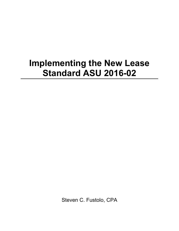## **Implementing the New Lease Standard ASU 2016-02**

Steven C. Fustolo, CPA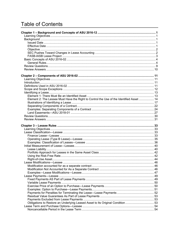## **Table of Contents**

| Element 2: The Lessee Must Have the Right to Control the Use of the Identified Asset  14 |  |
|------------------------------------------------------------------------------------------|--|
|                                                                                          |  |
|                                                                                          |  |
|                                                                                          |  |
|                                                                                          |  |
|                                                                                          |  |
|                                                                                          |  |
|                                                                                          |  |
|                                                                                          |  |
|                                                                                          |  |
|                                                                                          |  |
|                                                                                          |  |
|                                                                                          |  |
|                                                                                          |  |
|                                                                                          |  |
|                                                                                          |  |
|                                                                                          |  |
|                                                                                          |  |
|                                                                                          |  |
|                                                                                          |  |
|                                                                                          |  |
|                                                                                          |  |
|                                                                                          |  |
|                                                                                          |  |
|                                                                                          |  |
|                                                                                          |  |
|                                                                                          |  |
|                                                                                          |  |
|                                                                                          |  |
|                                                                                          |  |
|                                                                                          |  |
|                                                                                          |  |
| Obligations to Restore an Underlying Leased Asset to Its Original Condition 53           |  |
|                                                                                          |  |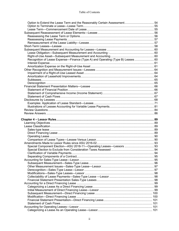| Option to Extend the Lease Term and the Reasonably Certain Assessment 54        |     |
|---------------------------------------------------------------------------------|-----|
|                                                                                 |     |
|                                                                                 |     |
|                                                                                 |     |
|                                                                                 |     |
|                                                                                 |     |
|                                                                                 |     |
|                                                                                 |     |
|                                                                                 |     |
|                                                                                 |     |
|                                                                                 |     |
| Recognition of Lease Expense—Finance (Type A) and Operating (Type B) Leases  60 |     |
|                                                                                 |     |
|                                                                                 |     |
|                                                                                 |     |
|                                                                                 |     |
|                                                                                 |     |
|                                                                                 |     |
|                                                                                 |     |
|                                                                                 |     |
|                                                                                 |     |
|                                                                                 |     |
|                                                                                 |     |
|                                                                                 |     |
|                                                                                 |     |
|                                                                                 |     |
|                                                                                 |     |
|                                                                                 |     |
|                                                                                 |     |
|                                                                                 |     |
|                                                                                 |     |
|                                                                                 |     |
|                                                                                 |     |
|                                                                                 |     |
|                                                                                 |     |
|                                                                                 |     |
|                                                                                 |     |
|                                                                                 |     |
|                                                                                 |     |
|                                                                                 |     |
|                                                                                 |     |
|                                                                                 |     |
|                                                                                 |     |
|                                                                                 |     |
|                                                                                 |     |
|                                                                                 |     |
|                                                                                 |     |
|                                                                                 |     |
|                                                                                 |     |
|                                                                                 |     |
|                                                                                 |     |
|                                                                                 |     |
|                                                                                 |     |
|                                                                                 |     |
|                                                                                 |     |
|                                                                                 |     |
|                                                                                 | 101 |